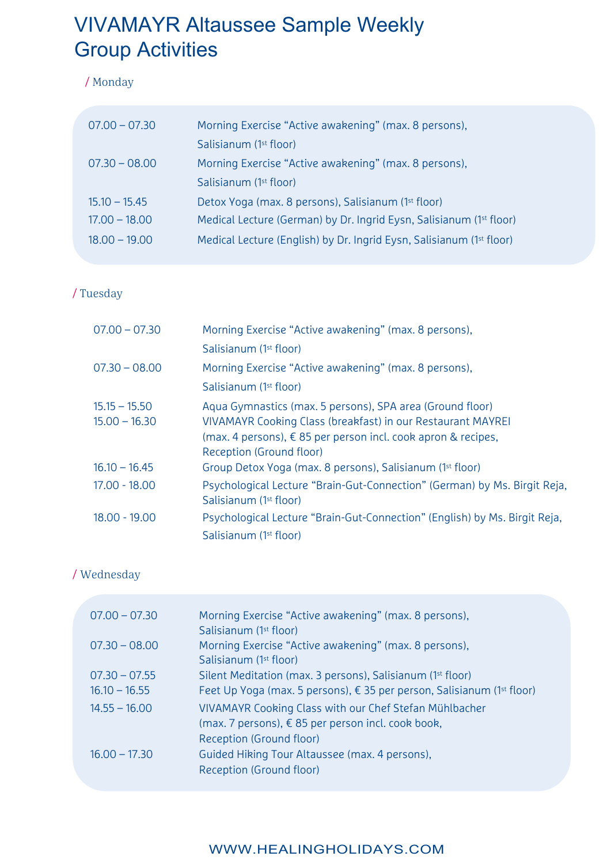# VIVAMAYR Altaussee Sample Weekly Group Activities

#### / Monday

| $07.00 - 07.30$ | Morning Exercise "Active awakening" (max. 8 persons),                |
|-----------------|----------------------------------------------------------------------|
|                 | Salisianum (1 <sup>st</sup> floor)                                   |
| $07.30 - 08.00$ | Morning Exercise "Active awakening" (max. 8 persons),                |
|                 | Salisianum (1 <sup>st</sup> floor)                                   |
| $15.10 - 15.45$ | Detox Yoga (max. 8 persons), Salisianum (1 <sup>st</sup> floor)      |
| $17.00 - 18.00$ | Medical Lecture (German) by Dr. Ingrid Eysn, Salisianum (1st floor)  |
| $18.00 - 19.00$ | Medical Lecture (English) by Dr. Ingrid Eysn, Salisianum (1st floor) |

## / Tuesday

| $07.00 - 07.30$                    | Morning Exercise "Active awakening" (max. 8 persons),                                                                                                                                                                          |
|------------------------------------|--------------------------------------------------------------------------------------------------------------------------------------------------------------------------------------------------------------------------------|
|                                    | Salisianum (1st floor)                                                                                                                                                                                                         |
| $07.30 - 08.00$                    | Morning Exercise "Active awakening" (max. 8 persons),                                                                                                                                                                          |
|                                    | Salisianum (1st floor)                                                                                                                                                                                                         |
| $15.15 - 15.50$<br>$15.00 - 16.30$ | Aqua Gymnastics (max. 5 persons), SPA area (Ground floor)<br>VIVAMAYR Cooking Class (breakfast) in our Restaurant MAYREI<br>(max. 4 persons), $\epsilon$ 85 per person incl. cook apron & recipes,<br>Reception (Ground floor) |
| $16.10 - 16.45$                    | Group Detox Yoga (max. 8 persons), Salisianum (1 <sup>st</sup> floor)                                                                                                                                                          |
| $17.00 - 18.00$                    | Psychological Lecture "Brain-Gut-Connection" (German) by Ms. Birgit Reja,<br>Salisianum (1 <sup>st</sup> floor)                                                                                                                |
| 18.00 - 19.00                      | Psychological Lecture "Brain-Gut-Connection" (English) by Ms. Birgit Reja,<br>Salisianum (1 <sup>st</sup> floor)                                                                                                               |

#### / Wednesday

| $07.00 - 07.30$ | Morning Exercise "Active awakening" (max. 8 persons),<br>Salisianum (1 <sup>st</sup> floor)                                                  |
|-----------------|----------------------------------------------------------------------------------------------------------------------------------------------|
| $07.30 - 08.00$ | Morning Exercise "Active awakening" (max. 8 persons),<br>Salisianum (1 <sup>st</sup> floor)                                                  |
| $07.30 - 07.55$ | Silent Meditation (max. 3 persons), Salisianum (1 <sup>st</sup> floor)                                                                       |
| $16.10 - 16.55$ | Feet Up Yoga (max. 5 persons), $\epsilon$ 35 per person, Salisianum (1 <sup>st</sup> floor)                                                  |
| $14.55 - 16.00$ | VIVAMAYR Cooking Class with our Chef Stefan Mühlbacher<br>(max. 7 persons), $\xi$ 85 per person incl. cook book,<br>Reception (Ground floor) |
| $16.00 - 17.30$ | Guided Hiking Tour Altaussee (max. 4 persons),<br>Reception (Ground floor)                                                                   |

# WWW.HEALINGHOLIDAYS.COM